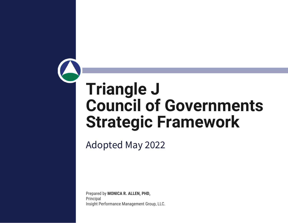# **Triangle J Council of Governments Strategic Framework**

Adopted May 2022

Prepared by **MONICA R. ALLEN, PHD,**  Principal Insight Performance Management Group, LLC.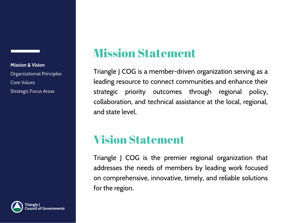# Mission Statement

Triangle J COG is a member-driven organization serving as a leading resource to connect communities and enhance their strategic priority outcomes through regional policy, collaboration, and technical assistance at the local, regional, and state level.

# Vision Statement

Triangle J COG is the premier regional organization that addresses the needs of members by leading work focused on comprehensive, innovative, timely, and reliable solutions for the region.

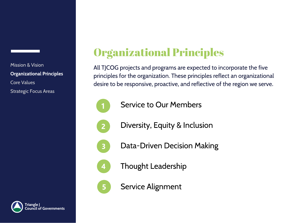

Organizational Principles

All TJCOG projects and programs are expected to incorporate the five principles for the organization. These principles reflect an organizational desire to be responsive, proactive, and reflective of the region we serve.



 $\mathbf{z}$ 

Service to Our Members

Diversity, Equity & Inclusion



Data-Driven Decision Making



Thought Leadership



Service Alignment

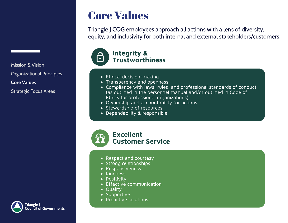# Core Values

Triangle J COG employees approach all actions with a lens of diversity, equity, and inclusivity for both internal and external stakeholders/customers.



- Ethical decision-making
- Transparency and openness
- Compliance with laws, rules, and professional standards of conduct (as outlined in the personnel manual and/or outlined in Code of Ethics for professional organizations)
- Ownership and accountability for actions
- Stewardship of resources
- Dependability & responsible



- Respect and courtesy
- Strong relationships
- Responsiveness
- Kindness
- Positivity
- Effective communication
- Quality
- Supportive
- Proactive solutions

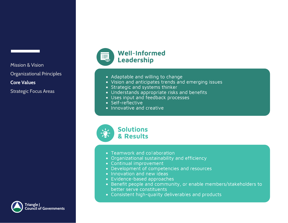



- 
- 
- Adaptable and willing to change<br>• Vision and anticipates trends and emerging issues
- Strategic and systems thinker
- Understands appropriate risks and benefits
- Uses input and feedback processes
- $\cdot$  Self-reflective
- Innovative and creative



- 
- Teamwork and collaboration<br>• Organizational sustainability and efficiency
- $\bullet$  Continual improvement
- Development of competencies and resources
- $\bullet$  Innovation and new ideas
- Evidence-based approaches
- Benefit people and community, or enable members/stakeholders to better serve constituents
- **Consistent high-quality d**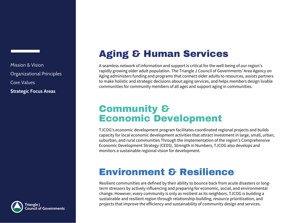

## **Aging & Human Services**

A seamless network of information and support is critical for the well-being of our region's rapidly growing older adult population. The Triangle J Council of Governments' Area Agency on Aging administers funding and programs that connect older adults to resources, assists partners to make holistic and strategic decisions about aging services, and helps members design livable communities for community members of all ages and support aging in communities.

#### Community & Economic Development

TJCOG's economic development program facilitates coordinated regional projects and builds capacity for local economic development activities that attract investment in large, small, urban, suburban, and rural communities Through the implementation of the region's Comprehensive Economic Development Strategy (CEDS), Strength in Numbers, TJCOG also develops and monitors a sustainable regional vision for development.

### Environment & Resilience

Resilient communities are defined by their ability to bounce back from acute disasters or longterm stressors by actively influencing and preparing for economic, social, and environmental change. However, every community is only as resilient as its neighbors. TJCOG is building a sustainable and resilient region through relationship-building, resource prioritization, and projects that improve the efficiency and sustainability of community design and services.